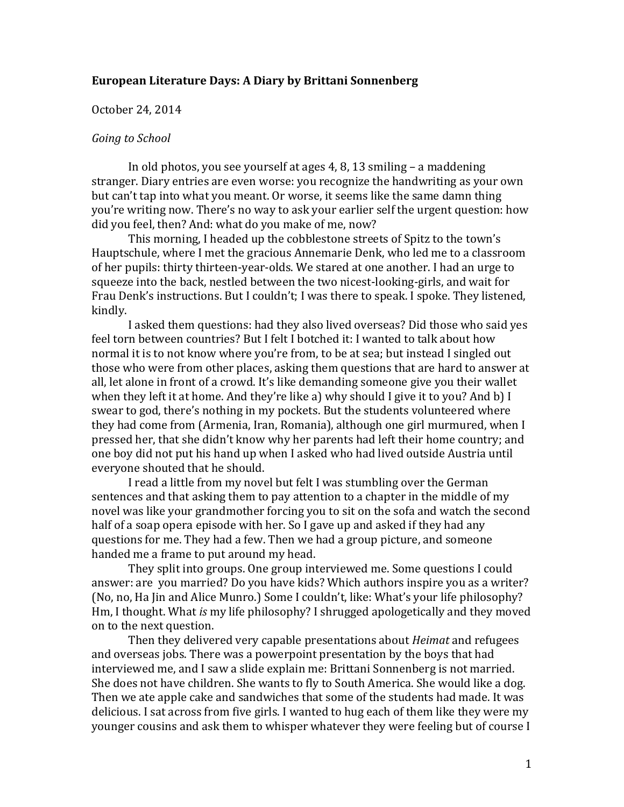## **European Literature Days: A Diary by Brittani Sonnenberg**

### October 24, 2014

### *Going to School*

In old photos, you see yourself at ages 4, 8, 13 smiling – a maddening stranger. Diary entries are even worse: you recognize the handwriting as your own but can't tap into what you meant. Or worse, it seems like the same damn thing you're writing now. There's no way to ask your earlier self the urgent question: how did you feel, then? And: what do you make of me, now?

This morning, I headed up the cobblestone streets of Spitz to the town's Hauptschule, where I met the gracious Annemarie Denk, who led me to a classroom of her pupils: thirty thirteen-year-olds. We stared at one another. I had an urge to squeeze into the back, nestled between the two nicest-looking-girls, and wait for Frau Denk's instructions. But I couldn't; I was there to speak. I spoke. They listened, kindly.

I asked them questions: had they also lived overseas? Did those who said yes feel torn between countries? But I felt I botched it: I wanted to talk about how normal it is to not know where you're from, to be at sea; but instead I singled out those who were from other places, asking them questions that are hard to answer at all, let alone in front of a crowd. It's like demanding someone give you their wallet when they left it at home. And they're like a) why should I give it to you? And b) I swear to god, there's nothing in my pockets. But the students volunteered where they had come from (Armenia, Iran, Romania), although one girl murmured, when I pressed her, that she didn't know why her parents had left their home country; and one boy did not put his hand up when I asked who had lived outside Austria until everyone shouted that he should.

I read a little from my novel but felt I was stumbling over the German sentences and that asking them to pay attention to a chapter in the middle of my novel was like your grandmother forcing you to sit on the sofa and watch the second half of a soap opera episode with her. So I gave up and asked if they had any questions for me. They had a few. Then we had a group picture, and someone handed me a frame to put around my head.

They split into groups. One group interviewed me. Some questions I could answer: are you married? Do you have kids? Which authors inspire you as a writer? (No, no, Ha Jin and Alice Munro.) Some I couldn't, like: What's your life philosophy? Hm, I thought. What *is* my life philosophy? I shrugged apologetically and they moved on to the next question.

Then they delivered very capable presentations about *Heimat* and refugees and overseas jobs. There was a powerpoint presentation by the boys that had interviewed me, and I saw a slide explain me: Brittani Sonnenberg is not married. She does not have children. She wants to fly to South America. She would like a dog. Then we ate apple cake and sandwiches that some of the students had made. It was delicious. I sat across from five girls. I wanted to hug each of them like they were my younger cousins and ask them to whisper whatever they were feeling but of course I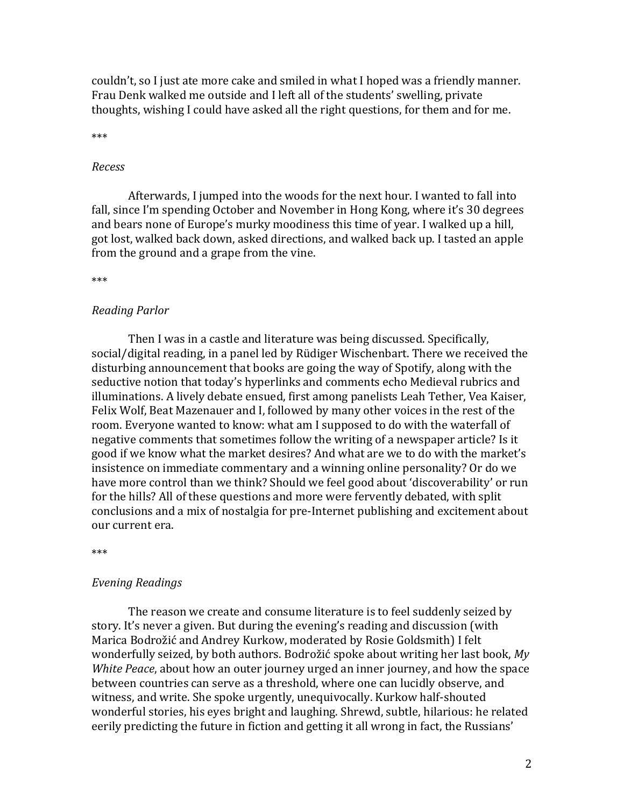couldn't, so I just ate more cake and smiled in what I hoped was a friendly manner. Frau Denk walked me outside and I left all of the students' swelling, private thoughts, wishing I could have asked all the right questions, for them and for me.

\*\*\*

#### *Recess*

Afterwards, I jumped into the woods for the next hour. I wanted to fall into fall, since I'm spending October and November in Hong Kong, where it's 30 degrees and bears none of Europe's murky moodiness this time of year. I walked up a hill, got lost, walked back down, asked directions, and walked back up. I tasted an apple from the ground and a grape from the vine.

\*\*\*

### *Reading Parlor*

Then I was in a castle and literature was being discussed. Specifically, social/digital reading, in a panel led by Rüdiger Wischenbart. There we received the disturbing announcement that books are going the way of Spotify, along with the seductive notion that today's hyperlinks and comments echo Medieval rubrics and illuminations. A lively debate ensued, first among panelists Leah Tether, Vea Kaiser, Felix Wolf, Beat Mazenauer and I, followed by many other voices in the rest of the room. Everyone wanted to know: what am I supposed to do with the waterfall of negative comments that sometimes follow the writing of a newspaper article? Is it good if we know what the market desires? And what are we to do with the market's insistence on immediate commentary and a winning online personality? Or do we have more control than we think? Should we feel good about 'discoverability' or run for the hills? All of these questions and more were fervently debated, with split conclusions and a mix of nostalgia for pre-Internet publishing and excitement about our current era.

\*\*\*

### *Evening Readings*

The reason we create and consume literature is to feel suddenly seized by story. It's never a given. But during the evening's reading and discussion (with Marica Bodrožić and Andrey Kurkow, moderated by Rosie Goldsmith) I felt wonderfully seized, by both authors. Bodrožić spoke about writing her last book, *My White Peace*, about how an outer journey urged an inner journey, and how the space between countries can serve as a threshold, where one can lucidly observe, and witness, and write. She spoke urgently, unequivocally. Kurkow half-shouted wonderful stories, his eyes bright and laughing. Shrewd, subtle, hilarious: he related eerily predicting the future in fiction and getting it all wrong in fact, the Russians'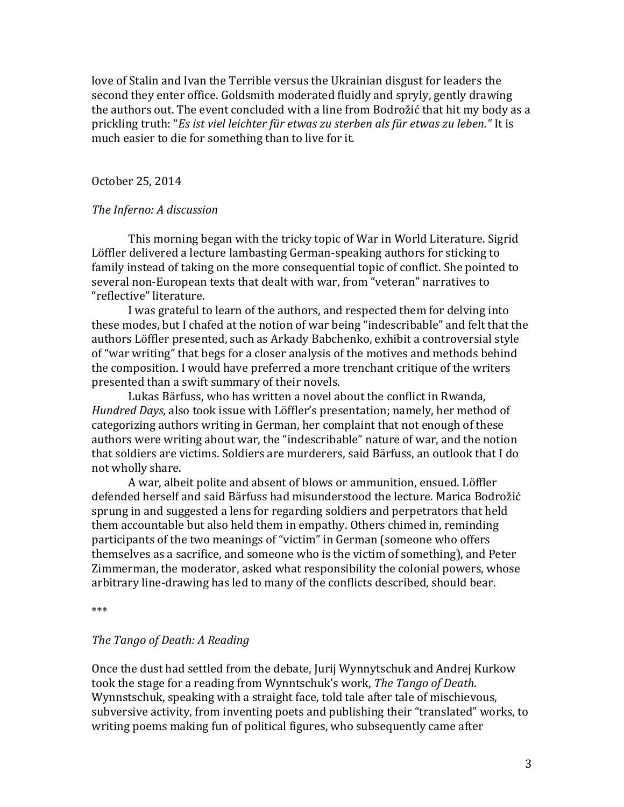love of Stalin and Ivan the Terrible versus the Ukrainian disgust for leaders the second they enter office. Goldsmith moderated fluidly and spryly, gently drawing the authors out. The event concluded with a line from Bodrožić that hit my body as a prickling truth: "*Es ist viel leichter für etwas zu sterben als für etwas zu leben."* It is much easier to die for something than to live for it.

October 25, 2014

## *The Inferno: A discussion*

This morning began with the tricky topic of War in World Literature. Sigrid Löffler delivered a lecture lambasting German-speaking authors for sticking to family instead of taking on the more consequential topic of conflict. She pointed to several non-European texts that dealt with war, from "veteran" narratives to "reflective" literature.

I was grateful to learn of the authors, and respected them for delving into these modes, but I chafed at the notion of war being "indescribable" and felt that the authors Löffler presented, such as Arkady Babchenko, exhibit a controversial style of "war writing" that begs for a closer analysis of the motives and methods behind the composition. I would have preferred a more trenchant critique of the writers presented than a swift summary of their novels.

Lukas Bärfuss, who has written a novel about the conflict in Rwanda, *Hundred Days,* also took issue with Löffler's presentation; namely, her method of categorizing authors writing in German, her complaint that not enough of these authors were writing about war, the "indescribable" nature of war, and the notion that soldiers are victims. Soldiers are murderers, said Bärfuss, an outlook that I do not wholly share.

A war, albeit polite and absent of blows or ammunition, ensued. Löffler defended herself and said Bärfuss had misunderstood the lecture. Marica Bodrožić sprung in and suggested a lens for regarding soldiers and perpetrators that held them accountable but also held them in empathy. Others chimed in, reminding participants of the two meanings of "victim" in German (someone who offers themselves as a sacrifice, and someone who is the victim of something), and Peter Zimmerman, the moderator, asked what responsibility the colonial powers, whose arbitrary line-drawing has led to many of the conflicts described, should bear.

\*\*\*

## *The Tango of Death: A Reading*

Once the dust had settled from the debate, Jurij Wynnytschuk and Andrej Kurkow took the stage for a reading from Wynntschuk's work, *The Tango of Death.* Wynnstschuk, speaking with a straight face, told tale after tale of mischievous, subversive activity, from inventing poets and publishing their "translated" works, to writing poems making fun of political figures, who subsequently came after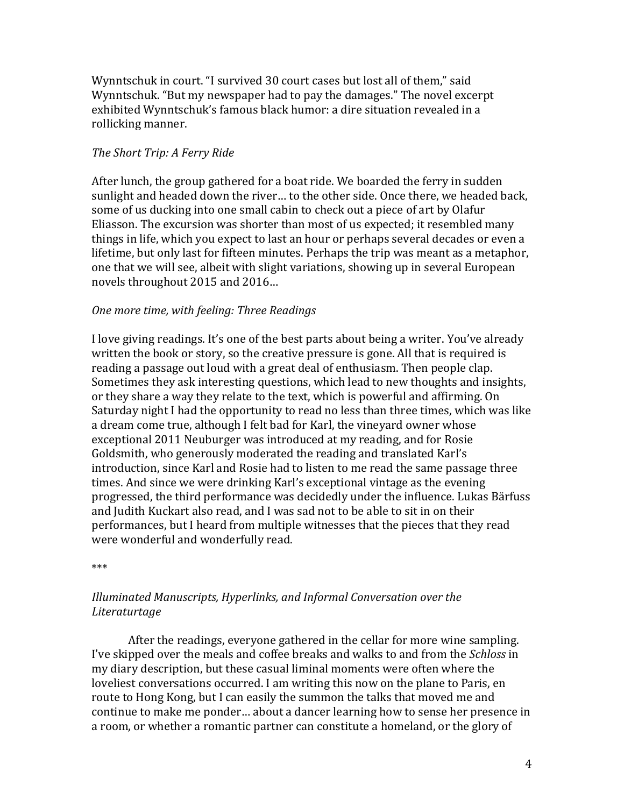Wynntschuk in court. "I survived 30 court cases but lost all of them," said Wynntschuk. "But my newspaper had to pay the damages." The novel excerpt exhibited Wynntschuk's famous black humor: a dire situation revealed in a rollicking manner.

## *The Short Trip: A Ferry Ride*

After lunch, the group gathered for a boat ride. We boarded the ferry in sudden sunlight and headed down the river… to the other side. Once there, we headed back, some of us ducking into one small cabin to check out a piece of art by Olafur Eliasson. The excursion was shorter than most of us expected; it resembled many things in life, which you expect to last an hour or perhaps several decades or even a lifetime, but only last for fifteen minutes. Perhaps the trip was meant as a metaphor, one that we will see, albeit with slight variations, showing up in several European novels throughout 2015 and 2016…

## *One more time, with feeling: Three Readings*

I love giving readings. It's one of the best parts about being a writer. You've already written the book or story, so the creative pressure is gone. All that is required is reading a passage out loud with a great deal of enthusiasm. Then people clap. Sometimes they ask interesting questions, which lead to new thoughts and insights, or they share a way they relate to the text, which is powerful and affirming. On Saturday night I had the opportunity to read no less than three times, which was like a dream come true, although I felt bad for Karl, the vineyard owner whose exceptional 2011 Neuburger was introduced at my reading, and for Rosie Goldsmith, who generously moderated the reading and translated Karl's introduction, since Karl and Rosie had to listen to me read the same passage three times. And since we were drinking Karl's exceptional vintage as the evening progressed, the third performance was decidedly under the influence. Lukas Bärfuss and Judith Kuckart also read, and I was sad not to be able to sit in on their performances, but I heard from multiple witnesses that the pieces that they read were wonderful and wonderfully read.

\*\*\*

# *Illuminated Manuscripts, Hyperlinks, and Informal Conversation over the Literaturtage*

After the readings, everyone gathered in the cellar for more wine sampling. I've skipped over the meals and coffee breaks and walks to and from the *Schloss* in my diary description, but these casual liminal moments were often where the loveliest conversations occurred. I am writing this now on the plane to Paris, en route to Hong Kong, but I can easily the summon the talks that moved me and continue to make me ponder… about a dancer learning how to sense her presence in a room, or whether a romantic partner can constitute a homeland, or the glory of